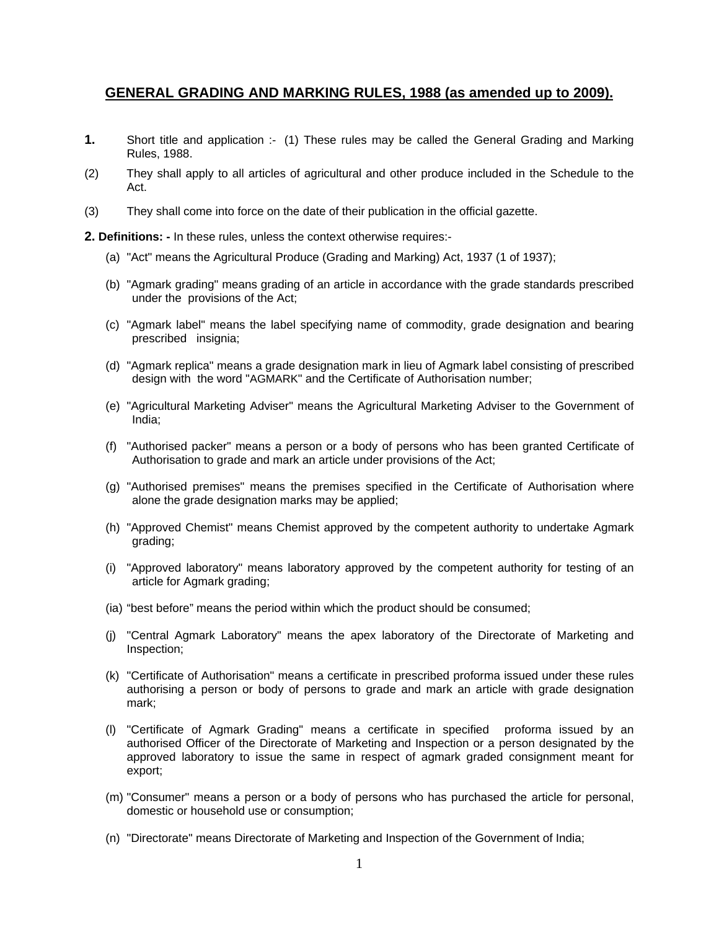## **GENERAL GRADING AND MARKING RULES, 1988 (as amended up to 2009).**

- **1.** Short title and application :- (1) These rules may be called the General Grading and Marking Rules, 1988.
- (2) They shall apply to all articles of agricultural and other produce included in the Schedule to the Act.
- (3) They shall come into force on the date of their publication in the official gazette.
- **2. Definitions: -** In these rules, unless the context otherwise requires:-
	- (a) "Act" means the Agricultural Produce (Grading and Marking) Act, 1937 (1 of 1937);
	- (b) "Agmark grading" means grading of an article in accordance with the grade standards prescribed under the provisions of the Act;
	- (c) "Agmark label" means the label specifying name of commodity, grade designation and bearing prescribed insignia;
	- (d) "Agmark replica" means a grade designation mark in lieu of Agmark label consisting of prescribed design with the word "AGMARK" and the Certificate of Authorisation number;
	- (e) "Agricultural Marketing Adviser" means the Agricultural Marketing Adviser to the Government of India;
	- (f) "Authorised packer" means a person or a body of persons who has been granted Certificate of Authorisation to grade and mark an article under provisions of the Act;
	- (g) "Authorised premises" means the premises specified in the Certificate of Authorisation where alone the grade designation marks may be applied;
	- (h) "Approved Chemist" means Chemist approved by the competent authority to undertake Agmark grading;
	- (i) "Approved laboratory" means laboratory approved by the competent authority for testing of an article for Agmark grading;
	- (ia) "best before" means the period within which the product should be consumed;
	- (j) "Central Agmark Laboratory" means the apex laboratory of the Directorate of Marketing and Inspection;
	- (k) "Certificate of Authorisation" means a certificate in prescribed proforma issued under these rules authorising a person or body of persons to grade and mark an article with grade designation mark;
	- (l) "Certificate of Agmark Grading" means a certificate in specified proforma issued by an authorised Officer of the Directorate of Marketing and Inspection or a person designated by the approved laboratory to issue the same in respect of agmark graded consignment meant for export;
	- (m) "Consumer" means a person or a body of persons who has purchased the article for personal, domestic or household use or consumption;
	- (n) "Directorate" means Directorate of Marketing and Inspection of the Government of India;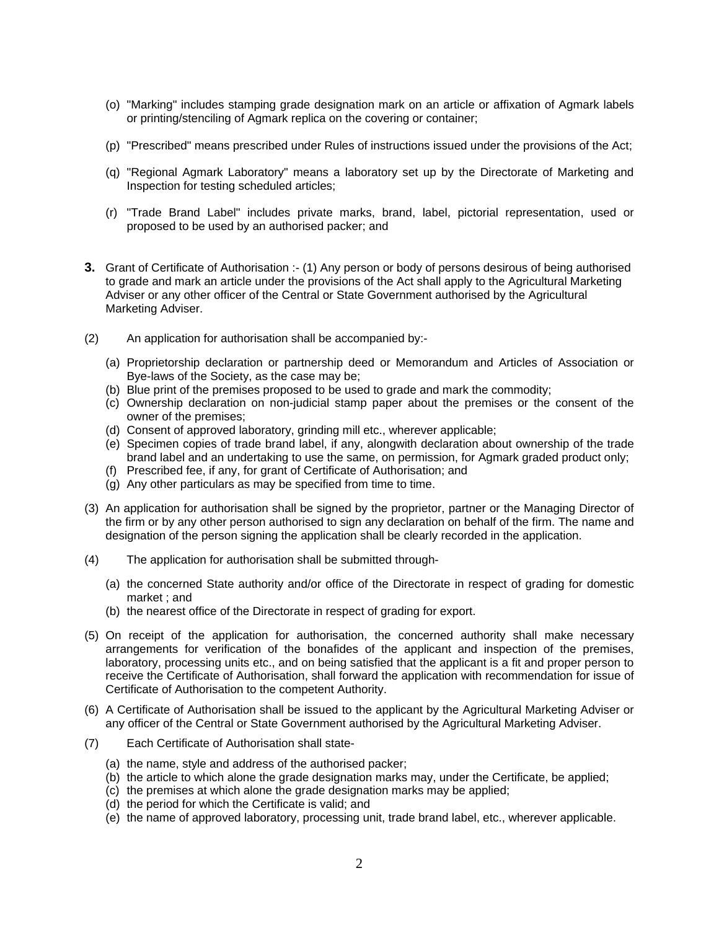- (o) "Marking" includes stamping grade designation mark on an article or affixation of Agmark labels or printing/stenciling of Agmark replica on the covering or container;
- (p) "Prescribed" means prescribed under Rules of instructions issued under the provisions of the Act;
- (q) "Regional Agmark Laboratory" means a laboratory set up by the Directorate of Marketing and Inspection for testing scheduled articles;
- (r) "Trade Brand Label" includes private marks, brand, label, pictorial representation, used or proposed to be used by an authorised packer; and
- **3.** Grant of Certificate of Authorisation :- (1) Any person or body of persons desirous of being authorised to grade and mark an article under the provisions of the Act shall apply to the Agricultural Marketing Adviser or any other officer of the Central or State Government authorised by the Agricultural Marketing Adviser.
- (2) An application for authorisation shall be accompanied by:-
	- (a) Proprietorship declaration or partnership deed or Memorandum and Articles of Association or Bye-laws of the Society, as the case may be;
	- (b) Blue print of the premises proposed to be used to grade and mark the commodity;
	- (c) Ownership declaration on non-judicial stamp paper about the premises or the consent of the owner of the premises;
	- (d) Consent of approved laboratory, grinding mill etc., wherever applicable;
	- (e) Specimen copies of trade brand label, if any, alongwith declaration about ownership of the trade brand label and an undertaking to use the same, on permission, for Agmark graded product only;
	- (f) Prescribed fee, if any, for grant of Certificate of Authorisation; and
	- (g) Any other particulars as may be specified from time to time.
- (3) An application for authorisation shall be signed by the proprietor, partner or the Managing Director of the firm or by any other person authorised to sign any declaration on behalf of the firm. The name and designation of the person signing the application shall be clearly recorded in the application.
- (4) The application for authorisation shall be submitted through-
	- (a) the concerned State authority and/or office of the Directorate in respect of grading for domestic market ; and
	- (b) the nearest office of the Directorate in respect of grading for export.
- (5) On receipt of the application for authorisation, the concerned authority shall make necessary arrangements for verification of the bonafides of the applicant and inspection of the premises, laboratory, processing units etc., and on being satisfied that the applicant is a fit and proper person to receive the Certificate of Authorisation, shall forward the application with recommendation for issue of Certificate of Authorisation to the competent Authority.
- (6) A Certificate of Authorisation shall be issued to the applicant by the Agricultural Marketing Adviser or any officer of the Central or State Government authorised by the Agricultural Marketing Adviser.
- (7) Each Certificate of Authorisation shall state-
	- (a) the name, style and address of the authorised packer;
	- (b) the article to which alone the grade designation marks may, under the Certificate, be applied;
	- (c) the premises at which alone the grade designation marks may be applied;
	- (d) the period for which the Certificate is valid; and
	- (e) the name of approved laboratory, processing unit, trade brand label, etc., wherever applicable.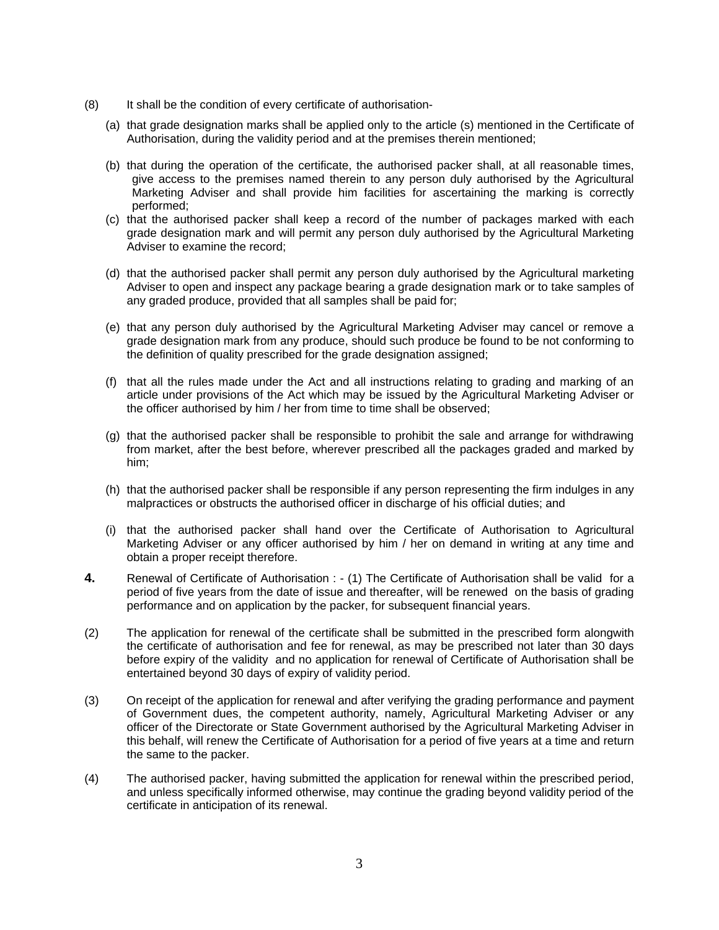- (8) It shall be the condition of every certificate of authorisation-
	- (a) that grade designation marks shall be applied only to the article (s) mentioned in the Certificate of Authorisation, during the validity period and at the premises therein mentioned;
	- (b) that during the operation of the certificate, the authorised packer shall, at all reasonable times, give access to the premises named therein to any person duly authorised by the Agricultural Marketing Adviser and shall provide him facilities for ascertaining the marking is correctly performed;
	- (c) that the authorised packer shall keep a record of the number of packages marked with each grade designation mark and will permit any person duly authorised by the Agricultural Marketing Adviser to examine the record;
	- (d) that the authorised packer shall permit any person duly authorised by the Agricultural marketing Adviser to open and inspect any package bearing a grade designation mark or to take samples of any graded produce, provided that all samples shall be paid for;
	- (e) that any person duly authorised by the Agricultural Marketing Adviser may cancel or remove a grade designation mark from any produce, should such produce be found to be not conforming to the definition of quality prescribed for the grade designation assigned;
	- (f) that all the rules made under the Act and all instructions relating to grading and marking of an article under provisions of the Act which may be issued by the Agricultural Marketing Adviser or the officer authorised by him / her from time to time shall be observed;
	- (g) that the authorised packer shall be responsible to prohibit the sale and arrange for withdrawing from market, after the best before, wherever prescribed all the packages graded and marked by him;
	- (h) that the authorised packer shall be responsible if any person representing the firm indulges in any malpractices or obstructs the authorised officer in discharge of his official duties; and
	- (i) that the authorised packer shall hand over the Certificate of Authorisation to Agricultural Marketing Adviser or any officer authorised by him / her on demand in writing at any time and obtain a proper receipt therefore.
- **4.** Renewal of Certificate of Authorisation : (1) The Certificate of Authorisation shall be valid for a period of five years from the date of issue and thereafter, will be renewed on the basis of grading performance and on application by the packer, for subsequent financial years.
- (2) The application for renewal of the certificate shall be submitted in the prescribed form alongwith the certificate of authorisation and fee for renewal, as may be prescribed not later than 30 days before expiry of the validity and no application for renewal of Certificate of Authorisation shall be entertained beyond 30 days of expiry of validity period.
- (3) On receipt of the application for renewal and after verifying the grading performance and payment of Government dues, the competent authority, namely, Agricultural Marketing Adviser or any officer of the Directorate or State Government authorised by the Agricultural Marketing Adviser in this behalf, will renew the Certificate of Authorisation for a period of five years at a time and return the same to the packer.
- (4) The authorised packer, having submitted the application for renewal within the prescribed period, and unless specifically informed otherwise, may continue the grading beyond validity period of the certificate in anticipation of its renewal.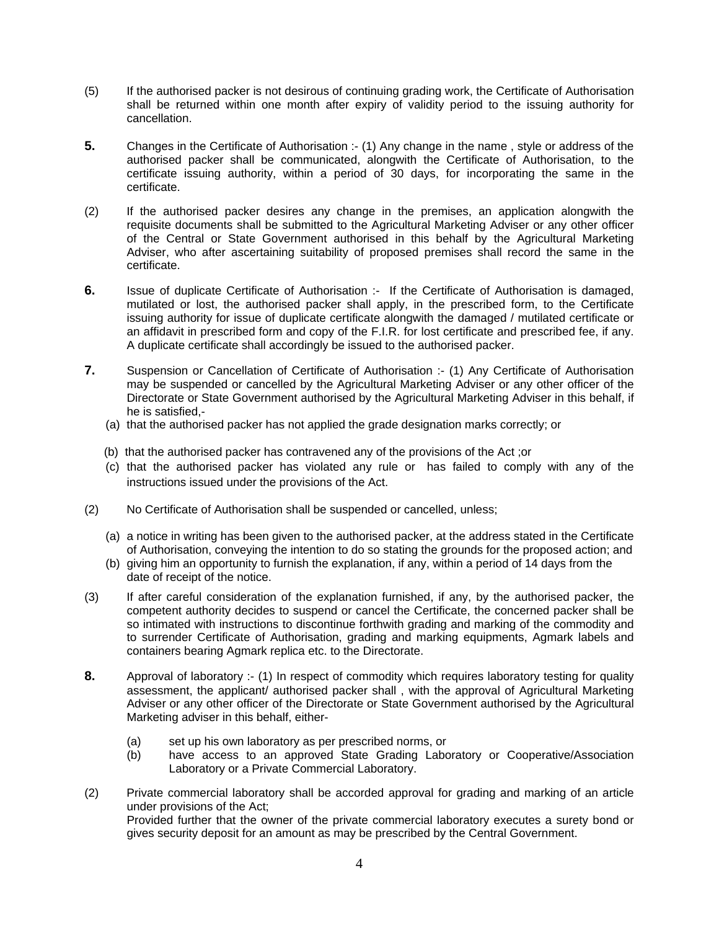- (5) If the authorised packer is not desirous of continuing grading work, the Certificate of Authorisation shall be returned within one month after expiry of validity period to the issuing authority for cancellation.
- **5.** Changes in the Certificate of Authorisation :- (1) Any change in the name , style or address of the authorised packer shall be communicated, alongwith the Certificate of Authorisation, to the certificate issuing authority, within a period of 30 days, for incorporating the same in the certificate.
- (2) If the authorised packer desires any change in the premises, an application alongwith the requisite documents shall be submitted to the Agricultural Marketing Adviser or any other officer of the Central or State Government authorised in this behalf by the Agricultural Marketing Adviser, who after ascertaining suitability of proposed premises shall record the same in the certificate.
- **6.** Issue of duplicate Certificate of Authorisation :- If the Certificate of Authorisation is damaged, mutilated or lost, the authorised packer shall apply, in the prescribed form, to the Certificate issuing authority for issue of duplicate certificate alongwith the damaged / mutilated certificate or an affidavit in prescribed form and copy of the F.I.R. for lost certificate and prescribed fee, if any. A duplicate certificate shall accordingly be issued to the authorised packer.
- **7.** Suspension or Cancellation of Certificate of Authorisation :- (1) Any Certificate of Authorisation may be suspended or cancelled by the Agricultural Marketing Adviser or any other officer of the Directorate or State Government authorised by the Agricultural Marketing Adviser in this behalf, if he is satisfied,-
	- (a) that the authorised packer has not applied the grade designation marks correctly; or
	- (b) that the authorised packer has contravened any of the provisions of the Act ;or
	- (c) that the authorised packer has violated any rule or has failed to comply with any of the instructions issued under the provisions of the Act.
- (2) No Certificate of Authorisation shall be suspended or cancelled, unless;
	- (a) a notice in writing has been given to the authorised packer, at the address stated in the Certificate of Authorisation, conveying the intention to do so stating the grounds for the proposed action; and
	- (b) giving him an opportunity to furnish the explanation, if any, within a period of 14 days from the date of receipt of the notice.
- (3) If after careful consideration of the explanation furnished, if any, by the authorised packer, the competent authority decides to suspend or cancel the Certificate, the concerned packer shall be so intimated with instructions to discontinue forthwith grading and marking of the commodity and to surrender Certificate of Authorisation, grading and marking equipments, Agmark labels and containers bearing Agmark replica etc. to the Directorate.
- **8.** Approval of laboratory :- (1) In respect of commodity which requires laboratory testing for quality assessment, the applicant/ authorised packer shall , with the approval of Agricultural Marketing Adviser or any other officer of the Directorate or State Government authorised by the Agricultural Marketing adviser in this behalf, either-
	- (a) set up his own laboratory as per prescribed norms, or<br>(b) have access to an approved State Grading Labo
	- have access to an approved State Grading Laboratory or Cooperative/Association Laboratory or a Private Commercial Laboratory.
- (2) Private commercial laboratory shall be accorded approval for grading and marking of an article under provisions of the Act; Provided further that the owner of the private commercial laboratory executes a surety bond or gives security deposit for an amount as may be prescribed by the Central Government.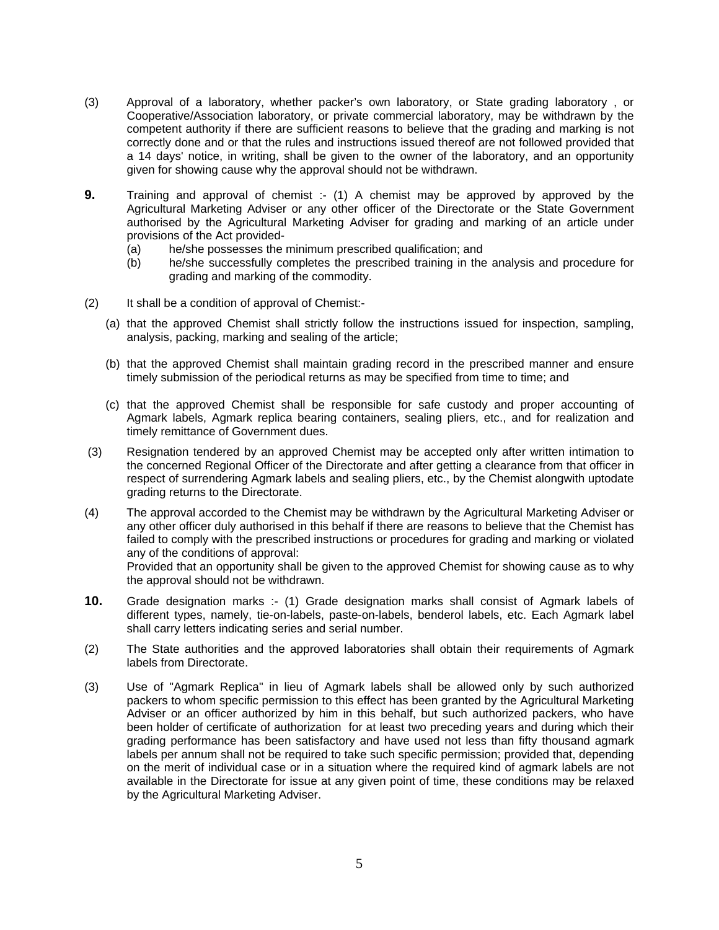- (3) Approval of a laboratory, whether packer's own laboratory, or State grading laboratory , or Cooperative/Association laboratory, or private commercial laboratory, may be withdrawn by the competent authority if there are sufficient reasons to believe that the grading and marking is not correctly done and or that the rules and instructions issued thereof are not followed provided that a 14 days' notice, in writing, shall be given to the owner of the laboratory, and an opportunity given for showing cause why the approval should not be withdrawn.
- **9.** Training and approval of chemist :- (1) A chemist may be approved by approved by the Agricultural Marketing Adviser or any other officer of the Directorate or the State Government authorised by the Agricultural Marketing Adviser for grading and marking of an article under provisions of the Act provided-
	- (a) he/she possesses the minimum prescribed qualification; and
	- (b) he/she successfully completes the prescribed training in the analysis and procedure for grading and marking of the commodity.
- (2) It shall be a condition of approval of Chemist:-
	- (a) that the approved Chemist shall strictly follow the instructions issued for inspection, sampling, analysis, packing, marking and sealing of the article;
	- (b) that the approved Chemist shall maintain grading record in the prescribed manner and ensure timely submission of the periodical returns as may be specified from time to time; and
	- (c) that the approved Chemist shall be responsible for safe custody and proper accounting of Agmark labels, Agmark replica bearing containers, sealing pliers, etc., and for realization and timely remittance of Government dues.
- (3) Resignation tendered by an approved Chemist may be accepted only after written intimation to the concerned Regional Officer of the Directorate and after getting a clearance from that officer in respect of surrendering Agmark labels and sealing pliers, etc., by the Chemist alongwith uptodate grading returns to the Directorate.
- (4) The approval accorded to the Chemist may be withdrawn by the Agricultural Marketing Adviser or any other officer duly authorised in this behalf if there are reasons to believe that the Chemist has failed to comply with the prescribed instructions or procedures for grading and marking or violated any of the conditions of approval: Provided that an opportunity shall be given to the approved Chemist for showing cause as to why the approval should not be withdrawn.
- **10.** Grade designation marks :- (1) Grade designation marks shall consist of Agmark labels of different types, namely, tie-on-labels, paste-on-labels, benderol labels, etc. Each Agmark label shall carry letters indicating series and serial number.
- (2) The State authorities and the approved laboratories shall obtain their requirements of Agmark labels from Directorate.
- (3) Use of "Agmark Replica" in lieu of Agmark labels shall be allowed only by such authorized packers to whom specific permission to this effect has been granted by the Agricultural Marketing Adviser or an officer authorized by him in this behalf, but such authorized packers, who have been holder of certificate of authorization for at least two preceding years and during which their grading performance has been satisfactory and have used not less than fifty thousand agmark labels per annum shall not be required to take such specific permission; provided that, depending on the merit of individual case or in a situation where the required kind of agmark labels are not available in the Directorate for issue at any given point of time, these conditions may be relaxed by the Agricultural Marketing Adviser.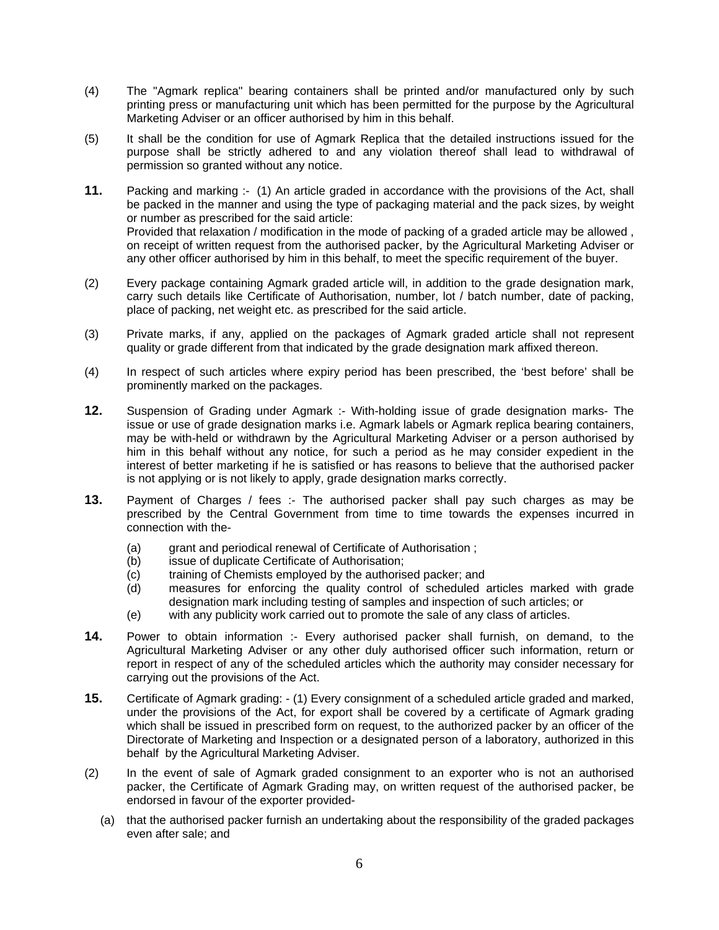- (4) The "Agmark replica" bearing containers shall be printed and/or manufactured only by such printing press or manufacturing unit which has been permitted for the purpose by the Agricultural Marketing Adviser or an officer authorised by him in this behalf.
- (5) It shall be the condition for use of Agmark Replica that the detailed instructions issued for the purpose shall be strictly adhered to and any violation thereof shall lead to withdrawal of permission so granted without any notice.
- **11.** Packing and marking :- (1) An article graded in accordance with the provisions of the Act, shall be packed in the manner and using the type of packaging material and the pack sizes, by weight or number as prescribed for the said article: Provided that relaxation / modification in the mode of packing of a graded article may be allowed , on receipt of written request from the authorised packer, by the Agricultural Marketing Adviser or any other officer authorised by him in this behalf, to meet the specific requirement of the buyer.
- (2) Every package containing Agmark graded article will, in addition to the grade designation mark, carry such details like Certificate of Authorisation, number, lot / batch number, date of packing, place of packing, net weight etc. as prescribed for the said article.
- (3) Private marks, if any, applied on the packages of Agmark graded article shall not represent quality or grade different from that indicated by the grade designation mark affixed thereon.
- (4) In respect of such articles where expiry period has been prescribed, the 'best before' shall be prominently marked on the packages.
- **12.** Suspension of Grading under Agmark :- With-holding issue of grade designation marks- The issue or use of grade designation marks i.e. Agmark labels or Agmark replica bearing containers, may be with-held or withdrawn by the Agricultural Marketing Adviser or a person authorised by him in this behalf without any notice, for such a period as he may consider expedient in the interest of better marketing if he is satisfied or has reasons to believe that the authorised packer is not applying or is not likely to apply, grade designation marks correctly.
- **13.** Payment of Charges / fees :- The authorised packer shall pay such charges as may be prescribed by the Central Government from time to time towards the expenses incurred in connection with the-
	- (a) grant and periodical renewal of Certificate of Authorisation ;
	- (b) issue of duplicate Certificate of Authorisation;
	- (c) training of Chemists employed by the authorised packer; and
	- (d) measures for enforcing the quality control of scheduled articles marked with grade designation mark including testing of samples and inspection of such articles; or
	- (e) with any publicity work carried out to promote the sale of any class of articles.
- **14.** Power to obtain information :- Every authorised packer shall furnish, on demand, to the Agricultural Marketing Adviser or any other duly authorised officer such information, return or report in respect of any of the scheduled articles which the authority may consider necessary for carrying out the provisions of the Act.
- **15.** Certificate of Agmark grading: (1) Every consignment of a scheduled article graded and marked, under the provisions of the Act, for export shall be covered by a certificate of Agmark grading which shall be issued in prescribed form on request, to the authorized packer by an officer of the Directorate of Marketing and Inspection or a designated person of a laboratory, authorized in this behalf by the Agricultural Marketing Adviser.
- (2) In the event of sale of Agmark graded consignment to an exporter who is not an authorised packer, the Certificate of Agmark Grading may, on written request of the authorised packer, be endorsed in favour of the exporter provided-
	- (a) that the authorised packer furnish an undertaking about the responsibility of the graded packages even after sale; and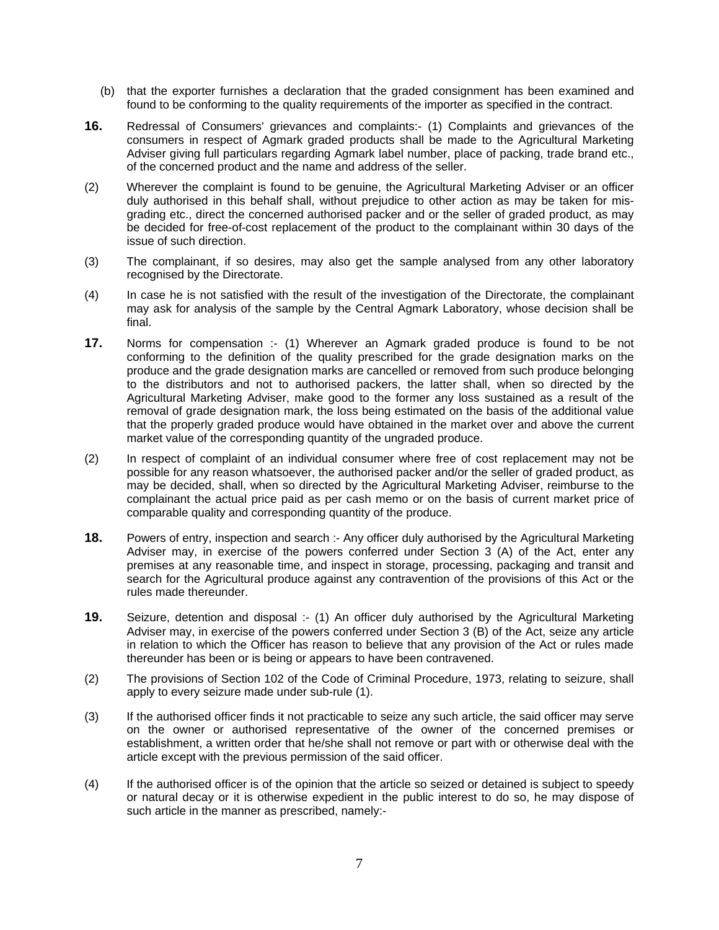- (b) that the exporter furnishes a declaration that the graded consignment has been examined and found to be conforming to the quality requirements of the importer as specified in the contract.
- **16.** Redressal of Consumers' grievances and complaints:- (1) Complaints and grievances of the consumers in respect of Agmark graded products shall be made to the Agricultural Marketing Adviser giving full particulars regarding Agmark label number, place of packing, trade brand etc., of the concerned product and the name and address of the seller.
- (2) Wherever the complaint is found to be genuine, the Agricultural Marketing Adviser or an officer duly authorised in this behalf shall, without prejudice to other action as may be taken for misgrading etc., direct the concerned authorised packer and or the seller of graded product, as may be decided for free-of-cost replacement of the product to the complainant within 30 days of the issue of such direction.
- (3) The complainant, if so desires, may also get the sample analysed from any other laboratory recognised by the Directorate.
- (4) In case he is not satisfied with the result of the investigation of the Directorate, the complainant may ask for analysis of the sample by the Central Agmark Laboratory, whose decision shall be final.
- **17.** Norms for compensation :- (1) Wherever an Agmark graded produce is found to be not conforming to the definition of the quality prescribed for the grade designation marks on the produce and the grade designation marks are cancelled or removed from such produce belonging to the distributors and not to authorised packers, the latter shall, when so directed by the Agricultural Marketing Adviser, make good to the former any loss sustained as a result of the removal of grade designation mark, the loss being estimated on the basis of the additional value that the properly graded produce would have obtained in the market over and above the current market value of the corresponding quantity of the ungraded produce.
- (2) In respect of complaint of an individual consumer where free of cost replacement may not be possible for any reason whatsoever, the authorised packer and/or the seller of graded product, as may be decided, shall, when so directed by the Agricultural Marketing Adviser, reimburse to the complainant the actual price paid as per cash memo or on the basis of current market price of comparable quality and corresponding quantity of the produce.
- **18.** Powers of entry, inspection and search :- Any officer duly authorised by the Agricultural Marketing Adviser may, in exercise of the powers conferred under Section 3 (A) of the Act, enter any premises at any reasonable time, and inspect in storage, processing, packaging and transit and search for the Agricultural produce against any contravention of the provisions of this Act or the rules made thereunder.
- **19.** Seizure, detention and disposal :- (1) An officer duly authorised by the Agricultural Marketing Adviser may, in exercise of the powers conferred under Section 3 (B) of the Act, seize any article in relation to which the Officer has reason to believe that any provision of the Act or rules made thereunder has been or is being or appears to have been contravened.
- (2) The provisions of Section 102 of the Code of Criminal Procedure, 1973, relating to seizure, shall apply to every seizure made under sub-rule (1).
- (3) If the authorised officer finds it not practicable to seize any such article, the said officer may serve on the owner or authorised representative of the owner of the concerned premises or establishment, a written order that he/she shall not remove or part with or otherwise deal with the article except with the previous permission of the said officer.
- (4) If the authorised officer is of the opinion that the article so seized or detained is subject to speedy or natural decay or it is otherwise expedient in the public interest to do so, he may dispose of such article in the manner as prescribed, namely:-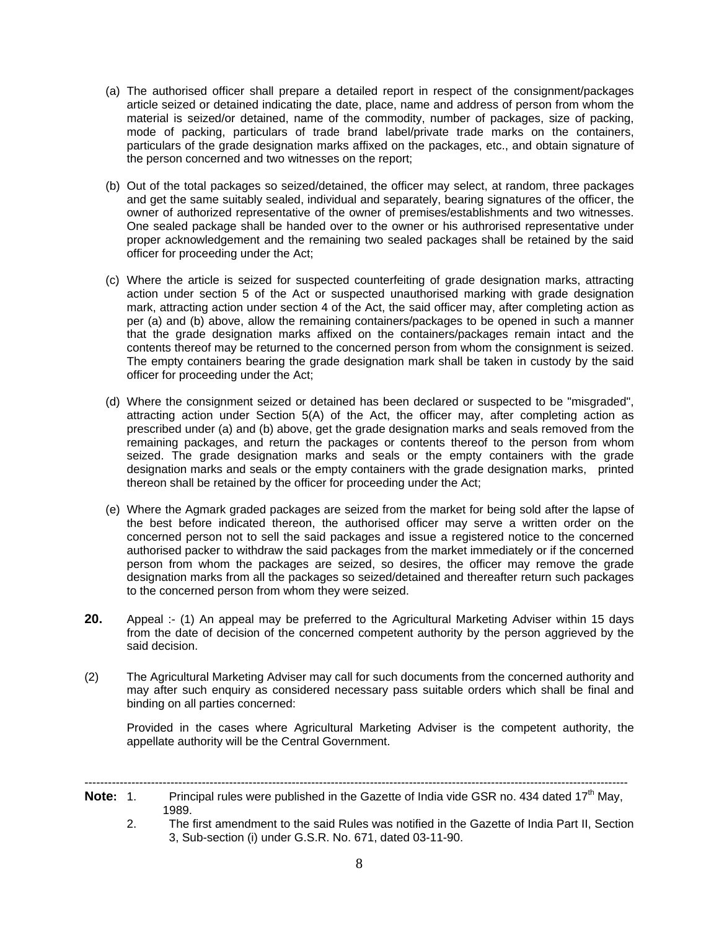- (a) The authorised officer shall prepare a detailed report in respect of the consignment/packages article seized or detained indicating the date, place, name and address of person from whom the material is seized/or detained, name of the commodity, number of packages, size of packing, mode of packing, particulars of trade brand label/private trade marks on the containers, particulars of the grade designation marks affixed on the packages, etc., and obtain signature of the person concerned and two witnesses on the report;
- (b) Out of the total packages so seized/detained, the officer may select, at random, three packages and get the same suitably sealed, individual and separately, bearing signatures of the officer, the owner of authorized representative of the owner of premises/establishments and two witnesses. One sealed package shall be handed over to the owner or his authrorised representative under proper acknowledgement and the remaining two sealed packages shall be retained by the said officer for proceeding under the Act;
- (c) Where the article is seized for suspected counterfeiting of grade designation marks, attracting action under section 5 of the Act or suspected unauthorised marking with grade designation mark, attracting action under section 4 of the Act, the said officer may, after completing action as per (a) and (b) above, allow the remaining containers/packages to be opened in such a manner that the grade designation marks affixed on the containers/packages remain intact and the contents thereof may be returned to the concerned person from whom the consignment is seized. The empty containers bearing the grade designation mark shall be taken in custody by the said officer for proceeding under the Act;
- (d) Where the consignment seized or detained has been declared or suspected to be "misgraded", attracting action under Section 5(A) of the Act, the officer may, after completing action as prescribed under (a) and (b) above, get the grade designation marks and seals removed from the remaining packages, and return the packages or contents thereof to the person from whom seized. The grade designation marks and seals or the empty containers with the grade designation marks and seals or the empty containers with the grade designation marks, printed thereon shall be retained by the officer for proceeding under the Act;
- (e) Where the Agmark graded packages are seized from the market for being sold after the lapse of the best before indicated thereon, the authorised officer may serve a written order on the concerned person not to sell the said packages and issue a registered notice to the concerned authorised packer to withdraw the said packages from the market immediately or if the concerned person from whom the packages are seized, so desires, the officer may remove the grade designation marks from all the packages so seized/detained and thereafter return such packages to the concerned person from whom they were seized.
- **20.** Appeal :- (1) An appeal may be preferred to the Agricultural Marketing Adviser within 15 days from the date of decision of the concerned competent authority by the person aggrieved by the said decision.
- (2) The Agricultural Marketing Adviser may call for such documents from the concerned authority and may after such enquiry as considered necessary pass suitable orders which shall be final and binding on all parties concerned:

Provided in the cases where Agricultural Marketing Adviser is the competent authority, the appellate authority will be the Central Government.

- ------------------------------------------------------------------------------------------------------------------------------------------- **Note:** 1. Principal rules were published in the Gazette of India vide GSR no. 434 dated 17<sup>th</sup> May. 1989.
	- 2. The first amendment to the said Rules was notified in the Gazette of India Part II, Section 3, Sub-section (i) under G.S.R. No. 671, dated 03-11-90.